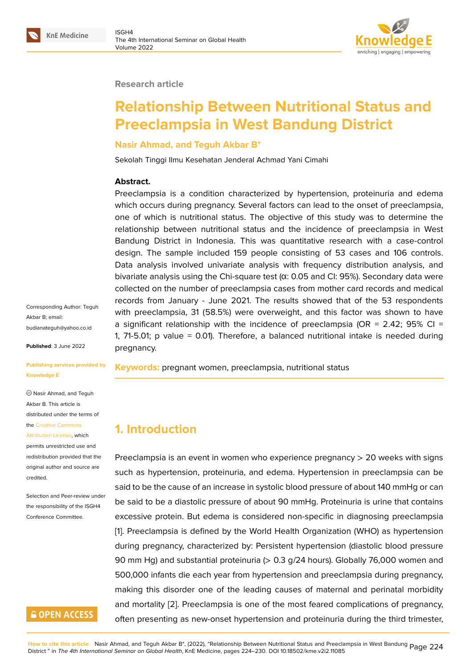#### **Research article**

# **Relationship Between Nutritional Status and Preeclampsia in West Bandung District**

#### **Nasir Ahmad, and Teguh Akbar B\***

Sekolah Tinggi Ilmu Kesehatan Jenderal Achmad Yani Cimahi

#### **Abstract.**

Preeclampsia is a condition characterized by hypertension, proteinuria and edema which occurs during pregnancy. Several factors can lead to the onset of preeclampsia, one of which is nutritional status. The objective of this study was to determine the relationship between nutritional status and the incidence of preeclampsia in West Bandung District in Indonesia. This was quantitative research with a case-control design. The sample included 159 people consisting of 53 cases and 106 controls. Data analysis involved univariate analysis with frequency distribution analysis, and bivariate analysis using the Chi-square test ( $α$ : 0.05 and Cl: 95%). Secondary data were collected on the number of preeclampsia cases from mother card records and medical records from January - June 2021. The results showed that of the 53 respondents with preeclampsia, 31 (58.5%) were overweight, and this factor was shown to have a significant relationship with the incidence of preeclampsia (OR =  $2.42$ ; 95% CI = 1, 71-5.01; p value = 0.01). Therefore, a balanced nutritional intake is needed during pregnancy.

**Keywords:** pregnant women, preeclampsia, nutritional status

### **1. Introduction**

Preeclampsia is an event in women who experience pregnancy  $> 20$  weeks with signs such as hypertension, proteinuria, and edema. Hypertension in preeclampsia can be said to be the cause of an increase in systolic blood pressure of about 140 mmHg or can be said to be a diastolic pressure of about 90 mmHg. Proteinuria is urine that contains excessive protein. But edema is considered non-specific in diagnosing preeclampsia [1]. Preeclampsia is defined by the World Health Organization (WHO) as hypertension during pregnancy, characterized by: Persistent hypertension (diastolic blood pressure 90 mm Hg) and substantial proteinuria (> 0.3 g/24 hours). Globally 76,000 women and [5](#page-5-0)00,000 infants die each year from hypertension and preeclampsia during pregnancy, making this disorder one of the leading causes of maternal and perinatal morbidity and mortality [2]. Preeclampsia is one of the most feared complications of pregnancy, often presenting as new-onset hypertension and proteinuria during the third trimester,

Corresponding Author: Teguh Akbar B; email: budianateguh@yahoo.co.id

**Published**: 3 June 2022

#### **[Publishing services provid](mailto:budianateguh@yahoo.co.id)ed by Knowledge E**

Nasir Ahmad, and Teguh Akbar B. This article is distributed under the terms of the Creative Commons

Attribution License, which permits unrestricted use and redistribution provided that the orig[inal author and sou](https://creativecommons.org/licenses/by/4.0/)rce are [credited.](https://creativecommons.org/licenses/by/4.0/)

Selection and Peer-review under the responsibility of the ISGH4 Conference Committee.

### **GOPEN ACCESS**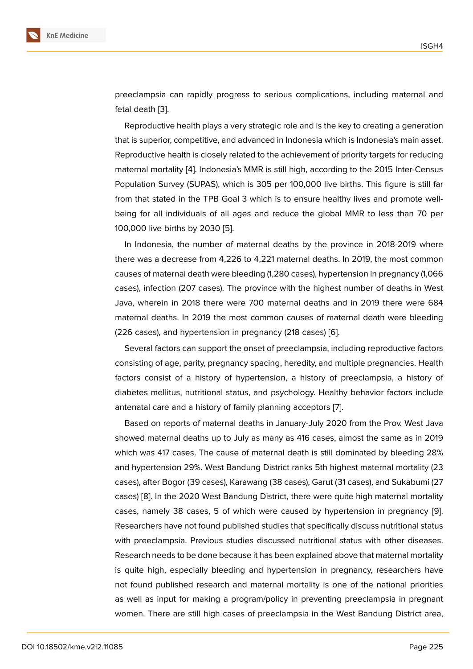preeclampsia can rapidly progress to serious complications, including maternal and fetal death [3].

Reproductive health plays a very strategic role and is the key to creating a generation that is superior, competitive, and advanced in Indonesia which is Indonesia's main asset. Reproducti[ve](#page-5-2) health is closely related to the achievement of priority targets for reducing maternal mortality [4]. Indonesia's MMR is still high, according to the 2015 Inter-Census Population Survey (SUPAS), which is 305 per 100,000 live births. This figure is still far from that stated in the TPB Goal 3 which is to ensure healthy lives and promote wellbeing for all indivi[du](#page-5-3)als of all ages and reduce the global MMR to less than 70 per 100,000 live births by 2030 [5].

In Indonesia, the number of maternal deaths by the province in 2018-2019 where there was a decrease from 4,226 to 4,221 maternal deaths. In 2019, the most common causes of maternal death we[re](#page-5-4) bleeding (1,280 cases), hypertension in pregnancy (1,066 cases), infection (207 cases). The province with the highest number of deaths in West Java, wherein in 2018 there were 700 maternal deaths and in 2019 there were 684 maternal deaths. In 2019 the most common causes of maternal death were bleeding (226 cases), and hypertension in pregnancy (218 cases) [6].

Several factors can support the onset of preeclampsia, including reproductive factors consisting of age, parity, pregnancy spacing, heredity, and multiple pregnancies. Health factors consist of a history of hypertension, a history [of](#page-5-5) preeclampsia, a history of diabetes mellitus, nutritional status, and psychology. Healthy behavior factors include antenatal care and a history of family planning acceptors [7].

Based on reports of maternal deaths in January-July 2020 from the Prov. West Java showed maternal deaths up to July as many as 416 cases, almost the same as in 2019 which was 417 cases. The cause of maternal death is still [d](#page-5-6)ominated by bleeding 28% and hypertension 29%. West Bandung District ranks 5th highest maternal mortality (23 cases), after Bogor (39 cases), Karawang (38 cases), Garut (31 cases), and Sukabumi (27 cases) [8]. In the 2020 West Bandung District, there were quite high maternal mortality cases, namely 38 cases, 5 of which were caused by hypertension in pregnancy [9]. Researchers have not found published studies that specifically discuss nutritional status with pr[ee](#page-5-7)clampsia. Previous studies discussed nutritional status with other diseases. Research needs to be done because it has been explained above that maternal morta[lity](#page-5-8) is quite high, especially bleeding and hypertension in pregnancy, researchers have not found published research and maternal mortality is one of the national priorities as well as input for making a program/policy in preventing preeclampsia in pregnant women. There are still high cases of preeclampsia in the West Bandung District area,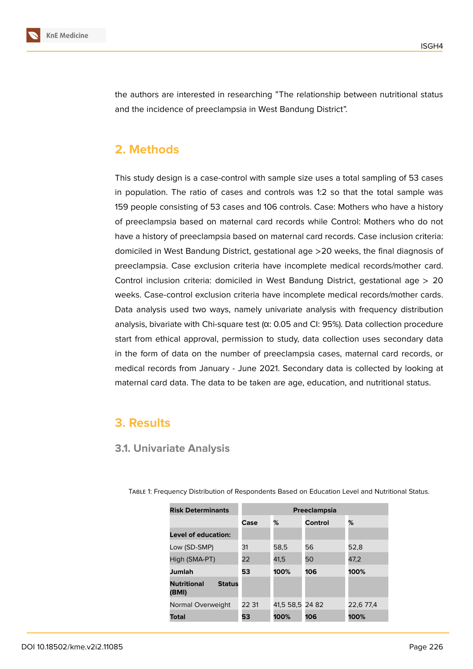

the authors are interested in researching "The relationship between nutritional status and the incidence of preeclampsia in West Bandung District".

### **2. Methods**

This study design is a case-control with sample size uses a total sampling of 53 cases in population. The ratio of cases and controls was 1:2 so that the total sample was 159 people consisting of 53 cases and 106 controls. Case: Mothers who have a history of preeclampsia based on maternal card records while Control: Mothers who do not have a history of preeclampsia based on maternal card records. Case inclusion criteria: domiciled in West Bandung District, gestational age >20 weeks, the final diagnosis of preeclampsia. Case exclusion criteria have incomplete medical records/mother card. Control inclusion criteria: domiciled in West Bandung District, gestational age > 20 weeks. Case-control exclusion criteria have incomplete medical records/mother cards. Data analysis used two ways, namely univariate analysis with frequency distribution analysis, bivariate with Chi-square test (α: 0.05 and CI: 95%). Data collection procedure start from ethical approval, permission to study, data collection uses secondary data in the form of data on the number of preeclampsia cases, maternal card records, or medical records from January - June 2021. Secondary data is collected by looking at maternal card data. The data to be taken are age, education, and nutritional status.

### **3. Results**

#### **3.1. Univariate Analysis**

| <b>Risk Determinants</b>                     | Preeclampsia |           |         |           |  |  |
|----------------------------------------------|--------------|-----------|---------|-----------|--|--|
|                                              | Case         | %         | Control | %         |  |  |
| Level of education:                          |              |           |         |           |  |  |
| Low (SD-SMP)                                 | 31           | 58,5      | 56      | 52,8      |  |  |
| High (SMA-PT)                                | 22           | 41.5      | 50      | 47.2      |  |  |
| Jumlah                                       | 53           | 100%      | 106     | 100%      |  |  |
| <b>Nutritional</b><br><b>Status</b><br>(BMI) |              |           |         |           |  |  |
| Normal Overweight                            | 22 31        | 41,5 58,5 | 24 82   | 22,6 77,4 |  |  |
| Total                                        | 53           | 100%      | 106     | 100%      |  |  |

Table 1: Frequency Distribution of Respondents Based on Education Level and Nutritional Status.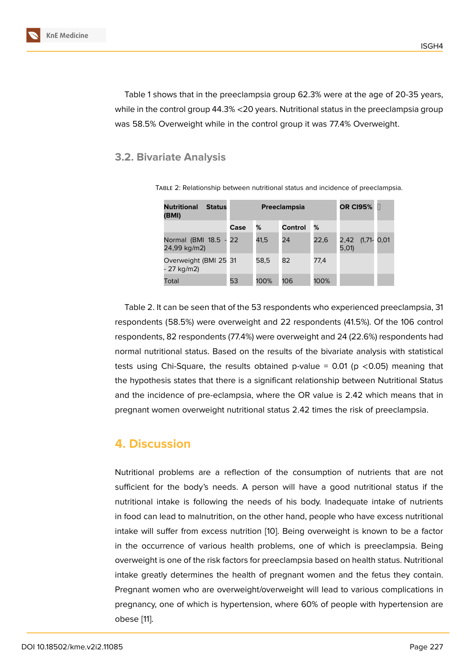Table 1 shows that in the preeclampsia group 62.3% were at the age of 20-35 years, while in the control group 44.3% <20 years. Nutritional status in the preeclampsia group was 58.5% Overweight while in the control group it was 77.4% Overweight.

#### **3.2. Bivariate Analysis**

| <b>Nutritional</b><br><b>Status</b><br>(BMI) | Preeclampsia |      |         |      | <b>OR CI95%</b>          |  |
|----------------------------------------------|--------------|------|---------|------|--------------------------|--|
|                                              | Case         | %    | Control | %    |                          |  |
| Normal (BMI 18.5 - 22<br>24,99 kg/m2)        |              | 41,5 | 24      | 22,6 | 2,42 (1,71- 0,01<br>5,01 |  |
| Overweight (BMI 25 31<br>- 27 kg/m2)         |              | 58.5 | 82      | 77,4 |                          |  |
| Total                                        | 53           | 100% | 106     | 100% |                          |  |

Table 2: Relationship between nutritional status and incidence of preeclampsia.

Table 2. It can be seen that of the 53 respondents who experienced preeclampsia, 31 respondents (58.5%) were overweight and 22 respondents (41.5%). Of the 106 control respondents, 82 respondents (77.4%) were overweight and 24 (22.6%) respondents had normal nutritional status. Based on the results of the bivariate analysis with statistical tests using Chi-Square, the results obtained p-value =  $0.01$  (p < 0.05) meaning that the hypothesis states that there is a significant relationship between Nutritional Status and the incidence of pre-eclampsia, where the OR value is 2.42 which means that in pregnant women overweight nutritional status 2.42 times the risk of preeclampsia.

### **4. Discussion**

Nutritional problems are a reflection of the consumption of nutrients that are not sufficient for the body's needs. A person will have a good nutritional status if the nutritional intake is following the needs of his body. Inadequate intake of nutrients in food can lead to malnutrition, on the other hand, people who have excess nutritional intake will suffer from excess nutrition [10]. Being overweight is known to be a factor in the occurrence of various health problems, one of which is preeclampsia. Being overweight is one of the risk factors for preeclampsia based on health status. Nutritional intake greatly determines the health of [pr](#page-5-9)egnant women and the fetus they contain. Pregnant women who are overweight/overweight will lead to various complications in pregnancy, one of which is hypertension, where 60% of people with hypertension are obese [11].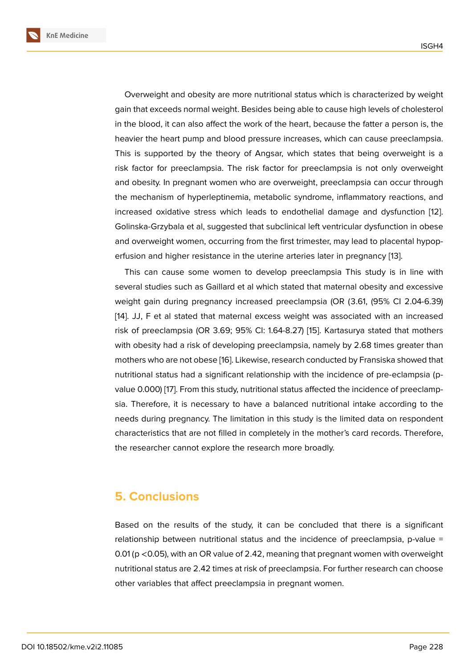Overweight and obesity are more nutritional status which is characterized by weight gain that exceeds normal weight. Besides being able to cause high levels of cholesterol in the blood, it can also affect the work of the heart, because the fatter a person is, the heavier the heart pump and blood pressure increases, which can cause preeclampsia. This is supported by the theory of Angsar, which states that being overweight is a risk factor for preeclampsia. The risk factor for preeclampsia is not only overweight and obesity. In pregnant women who are overweight, preeclampsia can occur through the mechanism of hyperleptinemia, metabolic syndrome, inflammatory reactions, and increased oxidative stress which leads to endothelial damage and dysfunction [12]. Golinska-Grzybala et al, suggested that subclinical left ventricular dysfunction in obese and overweight women, occurring from the first trimester, may lead to placental hypoperfusion and higher resistance in the uterine arteries later in pregnancy [13].

This can cause some women to develop preeclampsia This study is in line with several studies such as Gaillard et al which stated that maternal obesity and excessive weight gain during pregnancy increased preeclampsia (OR (3.61, (95% [C](#page-6-0)I 2.04-6.39) [14]. JJ, F et al stated that maternal excess weight was associated with an increased risk of preeclampsia (OR 3.69; 95% CI: 1.64-8.27) [15]. Kartasurya stated that mothers with obesity had a risk of developing preeclampsia, namely by 2.68 times greater than [mo](#page-6-1)thers who are not obese [16]. Likewise, research conducted by Fransiska showed that nutritional status had a significant relationship wit[h th](#page-6-2)e incidence of pre-eclampsia (pvalue 0.000) [17]. From this study, nutritional status affected the incidence of preeclampsia. Therefore, it is necess[ary](#page-6-3) to have a balanced nutritional intake according to the needs during pregnancy. The limitation in this study is the limited data on respondent characteristic[s t](#page-6-4)hat are not filled in completely in the mother's card records. Therefore, the researcher cannot explore the research more broadly.

### **5. Conclusions**

Based on the results of the study, it can be concluded that there is a significant relationship between nutritional status and the incidence of preeclampsia, p-value = 0.01 (p <0.05), with an OR value of 2.42, meaning that pregnant women with overweight nutritional status are 2.42 times at risk of preeclampsia. For further research can choose other variables that affect preeclampsia in pregnant women.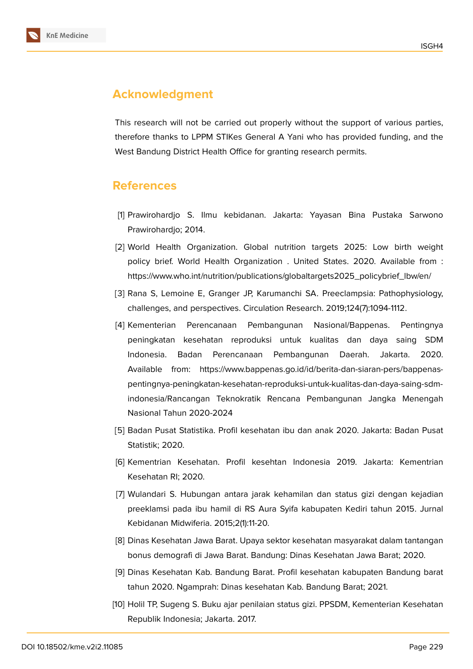

## **Acknowledgment**

This research will not be carried out properly without the support of various parties, therefore thanks to LPPM STIKes General A Yani who has provided funding, and the West Bandung District Health Office for granting research permits.

#### **References**

- <span id="page-5-0"></span>[1] Prawirohardjo S. Ilmu kebidanan. Jakarta: Yayasan Bina Pustaka Sarwono Prawirohardjo; 2014.
- <span id="page-5-1"></span>[2] World Health Organization. Global nutrition targets 2025: Low birth weight policy brief. World Health Organization . United States. 2020. Available from : https://www.who.int/nutrition/publications/globaltargets2025\_policybrief\_lbw/en/
- <span id="page-5-2"></span>[3] Rana S, Lemoine E, Granger JP, Karumanchi SA. Preeclampsia: Pathophysiology, challenges, and perspectives. Circulation Research. 2019;124(7):1094-1112.
- <span id="page-5-3"></span>[4] Kementerian Perencanaan Pembangunan Nasional/Bappenas. Pentingnya peningkatan kesehatan reproduksi untuk kualitas dan daya saing SDM Indonesia. Badan Perencanaan Pembangunan Daerah. Jakarta. 2020. Available from: https://www.bappenas.go.id/id/berita-dan-siaran-pers/bappenaspentingnya-peningkatan-kesehatan-reproduksi-untuk-kualitas-dan-daya-saing-sdmindonesia/Rancangan Teknokratik Rencana Pembangunan Jangka Menengah Nasional Tahun 2020-2024
- <span id="page-5-4"></span>[5] Badan Pusat Statistika. Profil kesehatan ibu dan anak 2020. Jakarta: Badan Pusat Statistik; 2020.
- <span id="page-5-5"></span>[6] Kementrian Kesehatan. Profil kesehtan Indonesia 2019. Jakarta: Kementrian Kesehatan RI; 2020.
- <span id="page-5-6"></span>[7] Wulandari S. Hubungan antara jarak kehamilan dan status gizi dengan kejadian preeklamsi pada ibu hamil di RS Aura Syifa kabupaten Kediri tahun 2015. Jurnal Kebidanan Midwiferia. 2015;2(1):11-20.
- <span id="page-5-7"></span>[8] Dinas Kesehatan Jawa Barat. Upaya sektor kesehatan masyarakat dalam tantangan bonus demografi di Jawa Barat. Bandung: Dinas Kesehatan Jawa Barat; 2020.
- <span id="page-5-8"></span>[9] Dinas Kesehatan Kab. Bandung Barat. Profil kesehatan kabupaten Bandung barat tahun 2020. Ngamprah: Dinas kesehatan Kab. Bandung Barat; 2021.
- <span id="page-5-9"></span>[10] Holil TP, Sugeng S. Buku ajar penilaian status gizi. PPSDM, Kementerian Kesehatan Republik Indonesia; Jakarta. 2017.